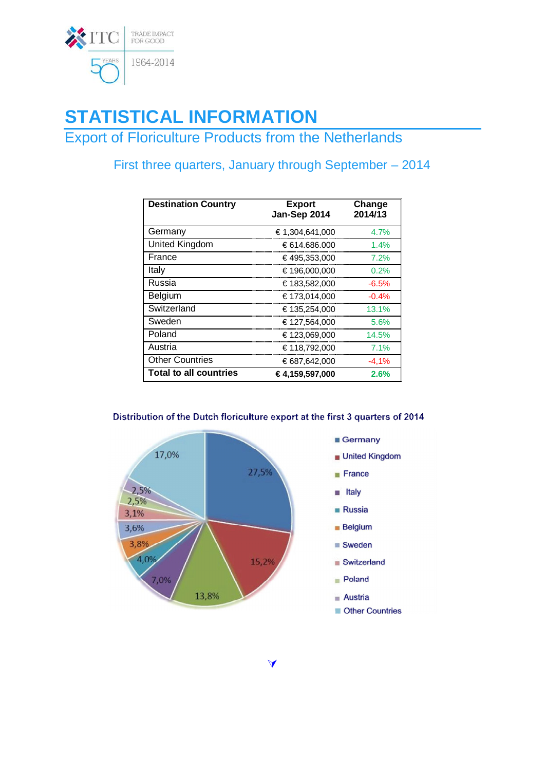

# **STATISTICAL INFORMATION**

**Export of Floriculture Products from the Netherlands** 

## First three quarters, January through September - 2014

| <b>Destination Country</b>    | <b>Export</b><br>Jan-Sep 2014 | Change<br>2014/13 |
|-------------------------------|-------------------------------|-------------------|
| Germany                       | € 1,304,641,000               | 4.7%              |
| United Kingdom                | €614.686.000                  | 1.4%              |
| France                        | €495,353,000                  | 7.2%              |
| Italy                         | €196,000,000                  | 0.2%              |
| Russia                        | €183,582,000                  | $-6.5%$           |
| Belgium                       | €173,014,000                  | $-0.4%$           |
| Switzerland                   | €135,254,000                  | 13.1%             |
| Sweden                        | €127,564,000                  | 5.6%              |
| Poland                        | €123,069,000                  | 14.5%             |
| Austria                       | €118,792,000                  | 7.1%              |
| <b>Other Countries</b>        | €687,642,000                  | $-4,1%$           |
| <b>Total to all countries</b> | €4.159.597.000                | 2.6%              |

### Distribution of the Dutch floriculture export at the first 3 quarters of 2014

 $\blacktriangleleft$ 



#### ■ Germany

- United Kingdom
- $F$ rance
- ltaly
- **Russia**
- $B$ elgium
- Sweden
- Switzerland
- Poland
- $A$ ustria
- **Other Countries**